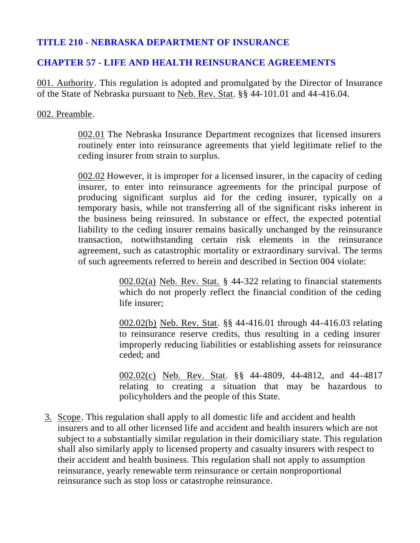# **TITLE 210 - NEBRASKA DEPARTMENT OF INSURANCE**

## **CHAPTER 57 - LIFE AND HEALTH REINSURANCE AGREEMENTS**

001. Authority. This regulation is adopted and promulgated by the Director of Insurance of the State of Nebraska pursuant to Neb. Rev. Stat. §§ 44-101.01 and 44-416.04.

### 002. Preamble.

002.01 The Nebraska Insurance Department recognizes that licensed insurers routinely enter into reinsurance agreements that yield legitimate relief to the ceding insurer from strain to surplus.

002.02 However, it is improper for a licensed insurer, in the capacity of ceding insurer, to enter into reinsurance agreements for the principal purpose of producing significant surplus aid for the ceding insurer, typically on a temporary basis, while not transferring all of the significant risks inherent in the business being reinsured. In substance or effect, the expected potential liability to the ceding insurer remains basically unchanged by the reinsurance transaction, notwithstanding certain risk elements in the reinsurance agreement, such as catastrophic mortality or extraordinary survival. The terms of such agreements referred to herein and described in Section 004 violate:

> 002.02(a) Neb. Rev. Stat. § 44-322 relating to financial statements which do not properly reflect the financial condition of the ceding life insurer;

> 002.02(b) Neb. Rev. Stat. §§ 44-416.01 through 44-416.03 relating to reinsurance reserve credits, thus resulting in a ceding insurer improperly reducing liabilities or establishing assets for reinsurance ceded; and

> 002.02(c) Neb. Rev. Stat. §§ 44-4809, 44-4812, and 44-4817 relating to creating a situation that may be hazardous to policyholders and the people of this State.

3. Scope. This regulation shall apply to all domestic life and accident and health insurers and to all other licensed life and accident and health insurers which are not subject to a substantially similar regulation in their domiciliary state. This regulation shall also similarly apply to licensed property and casualty insurers with respect to their accident and health business. This regulation shall not apply to assumption reinsurance, yearly renewable term reinsurance or certain nonproportional reinsurance such as stop loss or catastrophe reinsurance.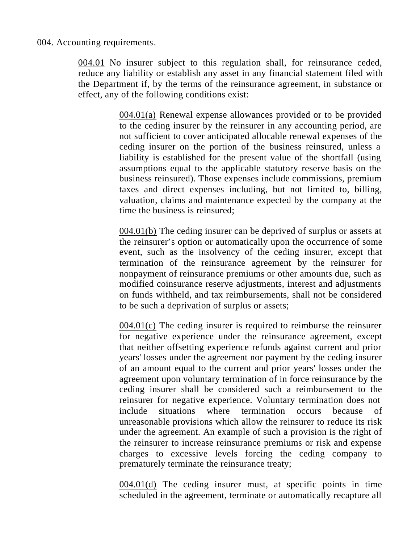### 004. Accounting requirements.

004.01 No insurer subject to this regulation shall, for reinsurance ceded, reduce any liability or establish any asset in any financial statement filed with the Department if, by the terms of the reinsurance agreement, in substance or effect, any of the following conditions exist:

> 004.01(a) Renewal expense allowances provided or to be provided to the ceding insurer by the reinsurer in any accounting period, are not sufficient to cover anticipated allocable renewal expenses of the ceding insurer on the portion of the business reinsured, unless a liability is established for the present value of the shortfall (using assumptions equal to the applicable statutory reserve basis on the business reinsured). Those expenses include commissions, premium taxes and direct expenses including, but not limited to, billing, valuation, claims and maintenance expected by the company at the time the business is reinsured;

> 004.01(b) The ceding insurer can be deprived of surplus or assets at the reinsurer's option or automatically upon the occurrence of some event, such as the insolvency of the ceding insurer, except that termination of the reinsurance agreement by the reinsurer for nonpayment of reinsurance premiums or other amounts due, such as modified coinsurance reserve adjustments, interest and adjustments on funds withheld, and tax reimbursements, shall not be considered to be such a deprivation of surplus or assets;

> 004.01(c) The ceding insurer is required to reimburse the reinsurer for negative experience under the reinsurance agreement, except that neither offsetting experience refunds against current and prior years' losses under the agreement nor payment by the ceding insurer of an amount equal to the current and prior years' losses under the agreement upon voluntary termination of in force reinsurance by the ceding insurer shall be considered such a reimbursement to the reinsurer for negative experience. Voluntary termination does not include situations where termination occurs because of unreasonable provisions which allow the reinsurer to reduce its risk under the agreement. An example of such a provision is the right of the reinsurer to increase reinsurance premiums or risk and expense charges to excessive levels forcing the ceding company to prematurely terminate the reinsurance treaty;

> 004.01(d) The ceding insurer must, at specific points in time scheduled in the agreement, terminate or automatically recapture all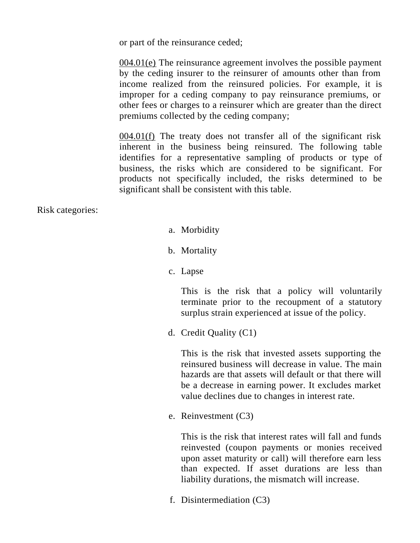or part of the reinsurance ceded;

004.01(e) The reinsurance agreement involves the possible payment by the ceding insurer to the reinsurer of amounts other than from income realized from the reinsured policies. For example, it is improper for a ceding company to pay reinsurance premiums, or other fees or charges to a reinsurer which are greater than the direct premiums collected by the ceding company;

004.01(f) The treaty does not transfer all of the significant risk inherent in the business being reinsured. The following table identifies for a representative sampling of products or type of business, the risks which are considered to be significant. For products not specifically included, the risks determined to be significant shall be consistent with this table.

Risk categories:

- a. Morbidity
- b. Mortality
- c. Lapse

This is the risk that a policy will voluntarily terminate prior to the recoupment of a statutory surplus strain experienced at issue of the policy.

d. Credit Quality (C1)

This is the risk that invested assets supporting the reinsured business will decrease in value. The main hazards are that assets will default or that there will be a decrease in earning power. It excludes market value declines due to changes in interest rate.

e. Reinvestment (C3)

This is the risk that interest rates will fall and funds reinvested (coupon payments or monies received upon asset maturity or call) will therefore earn less than expected. If asset durations are less than liability durations, the mismatch will increase.

f. Disintermediation (C3)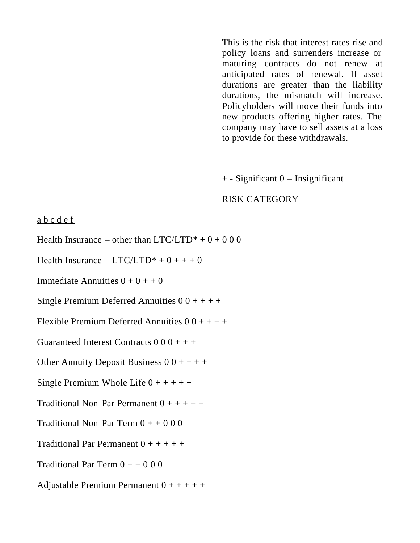This is the risk that interest rates rise and policy loans and surrenders increase or maturing contracts do not renew at anticipated rates of renewal. If asset durations are greater than the liability durations, the mismatch will increase. Policyholders will move their funds into new products offering higher rates. The company may have to sell assets at a loss to provide for these withdrawals.

+ - Significant 0 – Insignificant

#### RISK CATEGORY

#### a b c d e f

Health Insurance – other than  $LTC/LTD^* + 0 + 000$ 

Health Insurance –  $LTC/LTD^* + 0 + + + 0$ 

Immediate Annuities  $0 + 0 + 0$ 

Single Premium Deferred Annuities  $0\,0 + + + +$ 

Flexible Premium Deferred Annuities  $0\,0 + + + +$ 

Guaranteed Interest Contracts  $0\,0\,0 + + +$ 

Other Annuity Deposit Business  $0 \t0 + + + +$ 

Single Premium Whole Life  $0 + + + + +$ 

Traditional Non-Par Permanent  $0 + + + + +$ 

Traditional Non-Par Term  $0 + 0.000$ 

Traditional Par Permanent  $0 + + + + +$ 

Traditional Par Term  $0 + +0.000$ 

Adjustable Premium Permanent  $0 + + + + +$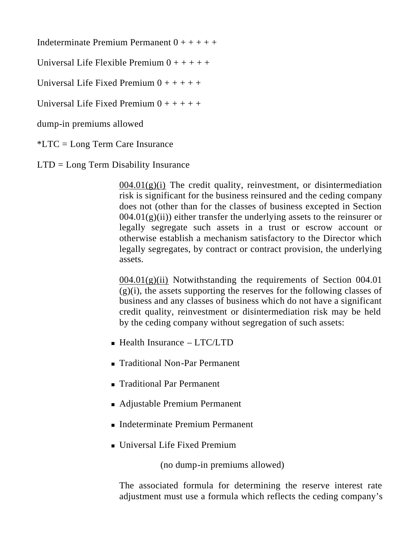Indeterminate Premium Permanent  $0 + + + + +$ 

Universal Life Flexible Premium  $0 + + + + +$ 

Universal Life Fixed Premium  $0 + + + + +$ 

Universal Life Fixed Premium  $0 + + + + + +$ 

dump-in premiums allowed

\*LTC = Long Term Care Insurance

LTD = Long Term Disability Insurance

 $004.01(g)(i)$  The credit quality, reinvestment, or disintermediation risk is significant for the business reinsured and the ceding company does not (other than for the classes of business excepted in Section  $004.01(g)(ii)$ ) either transfer the underlying assets to the reinsurer or legally segregate such assets in a trust or escrow account or otherwise establish a mechanism satisfactory to the Director which legally segregates, by contract or contract provision, the underlying assets.

 $004.01(g)(ii)$  Notwithstanding the requirements of Section 004.01  $(g)(i)$ , the assets supporting the reserves for the following classes of business and any classes of business which do not have a significant credit quality, reinvestment or disintermediation risk may be held by the ceding company without segregation of such assets:

- $\blacksquare$  Health Insurance LTC/LTD
- Traditional Non-Par Permanent
- Traditional Par Permanent
- Adjustable Premium Permanent
- <sup>n</sup> Indeterminate Premium Permanent
- Universal Life Fixed Premium

(no dump-in premiums allowed)

The associated formula for determining the reserve interest rate adjustment must use a formula which reflects the ceding company's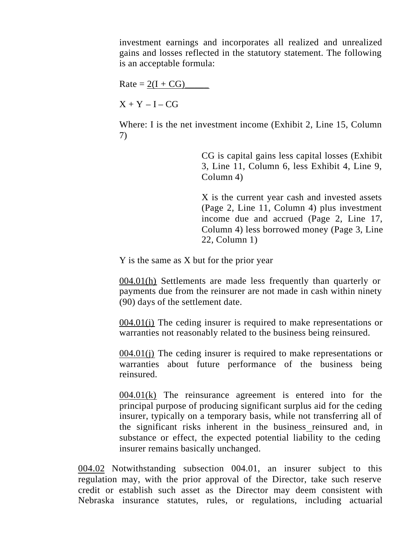investment earnings and incorporates all realized and unrealized gains and losses reflected in the statutory statement. The following is an acceptable formula:

 $Rate = 2(I + CG)$ 

 $X + Y - I - CG$ 

Where: I is the net investment income (Exhibit 2, Line 15, Column 7)

> CG is capital gains less capital losses (Exhibit 3, Line 11, Column 6, less Exhibit 4, Line 9, Column 4)

> X is the current year cash and invested assets (Page 2, Line 11, Column 4) plus investment income due and accrued (Page 2, Line 17, Column 4) less borrowed money (Page 3, Line 22, Column 1)

Y is the same as X but for the prior year

004.01(h) Settlements are made less frequently than quarterly or payments due from the reinsurer are not made in cash within ninety (90) days of the settlement date.

004.01(i) The ceding insurer is required to make representations or warranties not reasonably related to the business being reinsured.

004.01(j) The ceding insurer is required to make representations or warranties about future performance of the business being reinsured.

004.01(k) The reinsurance agreement is entered into for the principal purpose of producing significant surplus aid for the ceding insurer, typically on a temporary basis, while not transferring all of the significant risks inherent in the business reinsured and, in substance or effect, the expected potential liability to the ceding insurer remains basically unchanged.

004.02 Notwithstanding subsection 004.01, an insurer subject to this regulation may, with the prior approval of the Director, take such reserve credit or establish such asset as the Director may deem consistent with Nebraska insurance statutes, rules, or regulations, including actuarial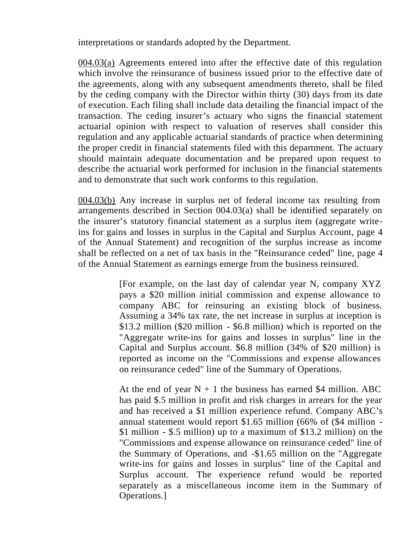interpretations or standards adopted by the Department.

004.03(a) Agreements entered into after the effective date of this regulation which involve the reinsurance of business issued prior to the effective date of the agreements, along with any subsequent amendments thereto, shall be filed by the ceding company with the Director within thirty (30) days from its date of execution. Each filing shall include data detailing the financial impact of the transaction. The ceding insurer's actuary who signs the financial statement actuarial opinion with respect to valuation of reserves shall consider this regulation and any applicable actuarial standards of practice when determining the proper credit in financial statements filed with this department. The actuary should maintain adequate documentation and be prepared upon request to describe the actuarial work performed for inclusion in the financial statements and to demonstrate that such work conforms to this regulation.

004.03(b) Any increase in surplus net of federal income tax resulting from arrangements described in Section 004.03(a) shall be identified separately on the insurer's statutory financial statement as a surplus item (aggregate writeins for gains and losses in surplus in the Capital and Surplus Account, page 4 of the Annual Statement) and recognition of the surplus increase as income shall be reflected on a net of tax basis in the "Reinsurance ceded" line, page 4 of the Annual Statement as earnings emerge from the business reinsured.

> [For example, on the last day of calendar year N, company XYZ pays a \$20 million initial commission and expense allowance to company ABC for reinsuring an existing block of business. Assuming a 34% tax rate, the net increase in surplus at inception is \$13.2 million (\$20 million - \$6.8 million) which is reported on the "Aggregate write-ins for gains and losses in surplus" line in the Capital and Surplus account. \$6.8 million (34% of \$20 million) is reported as income on the "Commissions and expense allowances on reinsurance ceded" line of the Summary of Operations.

> At the end of year  $N + 1$  the business has earned \$4 million. ABC has paid \$.5 million in profit and risk charges in arrears for the year and has received a \$1 million experience refund. Company ABC's annual statement would report \$1.65 million (66% of (\$4 million - \$1 million - \$.5 million) up to a maximum of \$13.2 million) on the "Commissions and expense allowance on reinsurance ceded" line of the Summary of Operations, and -\$1.65 million on the "Aggregate write-ins for gains and losses in surplus" line of the Capital and Surplus account. The experience refund would be reported separately as a miscellaneous income item in the Summary of Operations.]